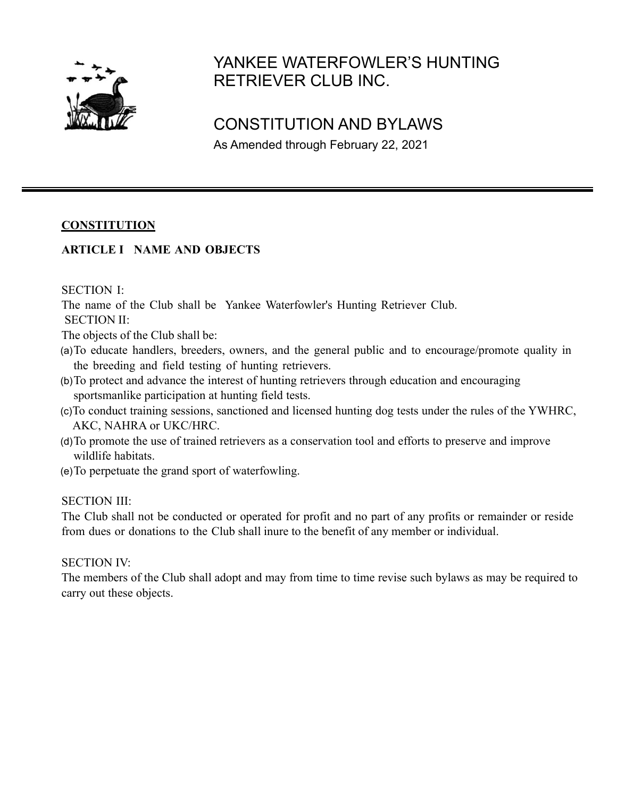

# YANKEE WATERFOWLER'S HUNTING RETRIEVER CLUB INC.

## CONSTITUTION AND BYLAWS

As Amended through February 22, 2021

## **CONSTITUTION**

## **ARTICLE I NAME AND OBJECTS**

#### SECTION I:

The name of the Club shall be Yankee Waterfowler's Hunting Retriever Club.

SECTION II:

The objects of the Club shall be:

- (a)To educate handlers, breeders, owners, and the general public and to encourage/promote quality in the breeding and field testing of hunting retrievers.
- (b)To protect and advance the interest of hunting retrievers through education and encouraging sportsmanlike participation at hunting field tests.
- (c)To conduct training sessions, sanctioned and licensed hunting dog tests under the rules of the YWHRC, AKC, NAHRA or UKC/HRC.
- (d)To promote the use of trained retrievers as a conservation tool and efforts to preserve and improve wildlife habitats.
- (e)To perpetuate the grand sport of waterfowling.

SECTION III:

The Club shall not be conducted or operated for profit and no part of any profits or remainder or reside from dues or donations to the Club shall inure to the benefit of any member or individual.

## SECTION IV:

The members of the Club shall adopt and may from time to time revise such bylaws as may be required to carry out these objects.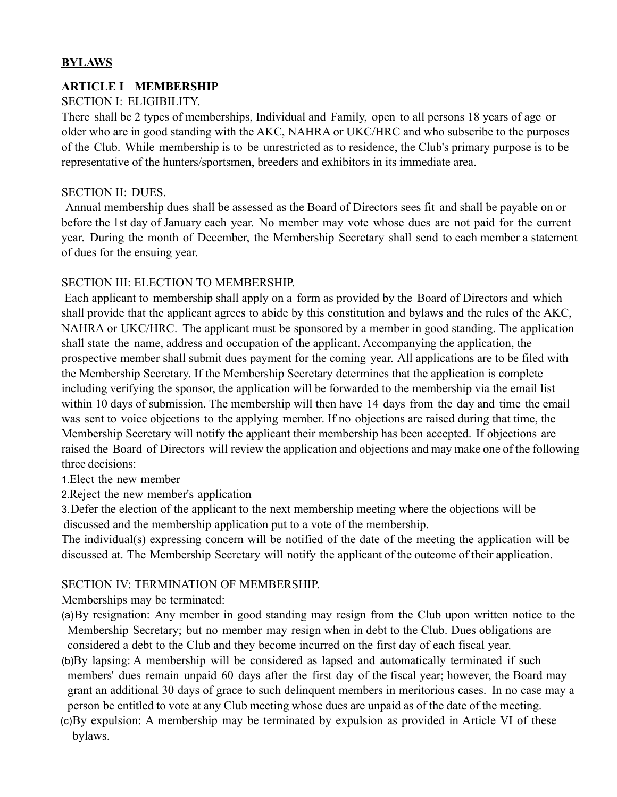## **BYLAWS**

## **ARTICLE I MEMBERSHIP**

## SECTION I: ELIGIBILITY.

There shall be 2 types of memberships, Individual and Family, open to all persons 18 years of age or older who are in good standing with the AKC, NAHRA or UKC/HRC and who subscribe to the purposes of the Club. While membership is to be unrestricted as to residence, the Club's primary purpose is to be representative of the hunters/sportsmen, breeders and exhibitors in its immediate area.

#### SECTION II: DUES.

Annual membership dues shall be assessed as the Board of Directors sees fit and shall be payable on or before the 1st day of January each year. No member may vote whose dues are not paid for the current year. During the month of December, the Membership Secretary shall send to each member a statement of dues for the ensuing year.

## SECTION III: ELECTION TO MEMBERSHIP.

Each applicant to membership shall apply on a form as provided by the Board of Directors and which shall provide that the applicant agrees to abide by this constitution and bylaws and the rules of the AKC, NAHRA or UKC/HRC. The applicant must be sponsored by a member in good standing. The application shall state the name, address and occupation of the applicant. Accompanying the application, the prospective member shall submit dues payment for the coming year. All applications are to be filed with the Membership Secretary. If the Membership Secretary determines that the application is complete including verifying the sponsor, the application will be forwarded to the membership via the email list within 10 days of submission. The membership will then have 14 days from the day and time the email was sent to voice objections to the applying member. If no objections are raised during that time, the Membership Secretary will notify the applicant their membership has been accepted. If objections are raised the Board of Directors will review the application and objections and may make one of the following three decisions:

#### 1.Elect the new member

2.Reject the new member's application

3.Defer the election of the applicant to the next membership meeting where the objections will be discussed and the membership application put to a vote of the membership.

The individual(s) expressing concern will be notified of the date of the meeting the application will be discussed at. The Membership Secretary will notify the applicant of the outcome of their application.

## SECTION IV: TERMINATION OF MEMBERSHIP.

Memberships may be terminated:

- (a)By resignation: Any member in good standing may resign from the Club upon written notice to the Membership Secretary; but no member may resign when in debt to the Club. Dues obligations are considered a debt to the Club and they become incurred on the first day of each fiscal year.
- (b)By lapsing: A membership will be considered as lapsed and automatically terminated if such members' dues remain unpaid 60 days after the first day of the fiscal year; however, the Board may grant an additional 30 days of grace to such delinquent members in meritorious cases. In no case may a person be entitled to vote at any Club meeting whose dues are unpaid as of the date of the meeting.
- (c)By expulsion: A membership may be terminated by expulsion as provided in Article VI of these bylaws.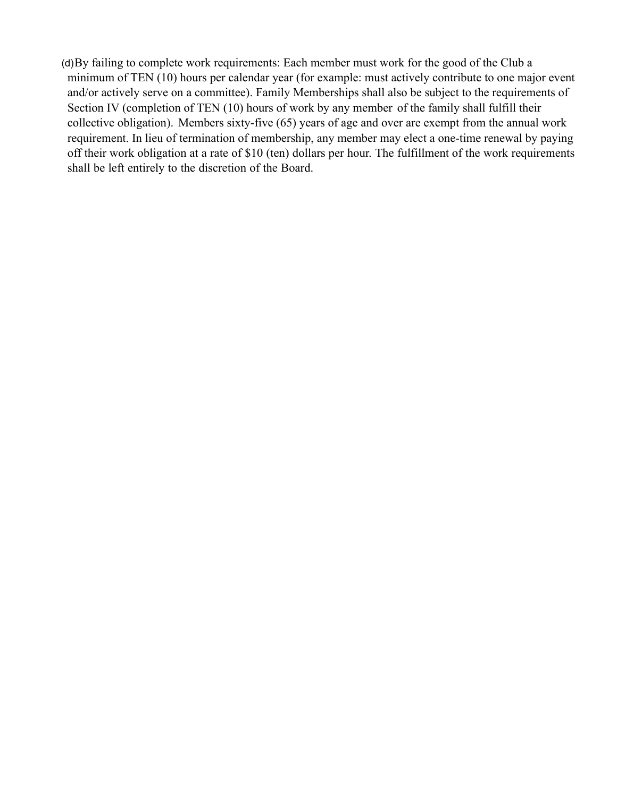(d)By failing to complete work requirements: Each member must work for the good of the Club a minimum of TEN (10) hours per calendar year (for example: must actively contribute to one major event and/or actively serve on a committee). Family Memberships shall also be subject to the requirements of Section IV (completion of TEN (10) hours of work by any member of the family shall fulfill their collective obligation). Members sixty-five (65) years of age and over are exempt from the annual work requirement. In lieu of termination of membership, any member may elect a one-time renewal by paying off their work obligation at a rate of \$10 (ten) dollars per hour. The fulfillment of the work requirements shall be left entirely to the discretion of the Board.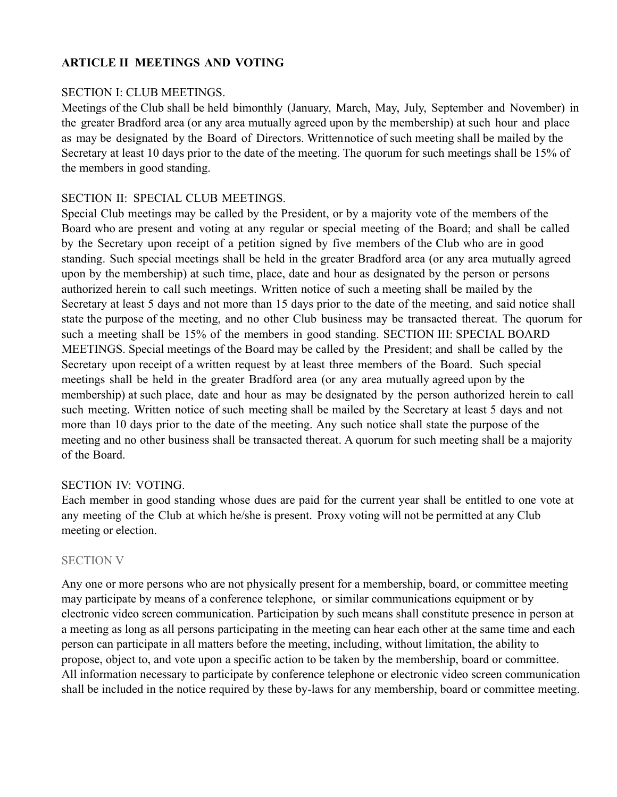## **ARTICLE II MEETINGS AND VOTING**

#### SECTION I: CLUB MEETINGS.

Meetings of the Club shall be held bimonthly (January, March, May, July, September and November) in the greater Bradford area (or any area mutually agreed upon by the membership) at such hour and place as may be designated by the Board of Directors. Writtennotice of such meeting shall be mailed by the Secretary at least 10 days prior to the date of the meeting. The quorum for such meetings shall be 15% of the members in good standing.

#### SECTION II: SPECIAL CLUB MEETINGS.

Special Club meetings may be called by the President, or by a majority vote of the members of the Board who are present and voting at any regular or special meeting of the Board; and shall be called by the Secretary upon receipt of a petition signed by five members of the Club who are in good standing. Such special meetings shall be held in the greater Bradford area (or any area mutually agreed upon by the membership) at such time, place, date and hour as designated by the person or persons authorized herein to call such meetings. Written notice of such a meeting shall be mailed by the Secretary at least 5 days and not more than 15 days prior to the date of the meeting, and said notice shall state the purpose of the meeting, and no other Club business may be transacted thereat. The quorum for such a meeting shall be 15% of the members in good standing. SECTION III: SPECIAL BOARD MEETINGS. Special meetings of the Board may be called by the President; and shall be called by the Secretary upon receipt of a written request by at least three members of the Board. Such special meetings shall be held in the greater Bradford area (or any area mutually agreed upon by the membership) at such place, date and hour as may be designated by the person authorized herein to call such meeting. Written notice of such meeting shall be mailed by the Secretary at least 5 days and not more than 10 days prior to the date of the meeting. Any such notice shall state the purpose of the meeting and no other business shall be transacted thereat. A quorum for such meeting shall be a majority of the Board.

#### SECTION IV: VOTING.

Each member in good standing whose dues are paid for the current year shall be entitled to one vote at any meeting of the Club at which he/she is present. Proxy voting will not be permitted at any Club meeting or election.

#### SECTION V

Any one or more persons who are not physically present for a membership, board, or committee meeting may participate by means of a conference telephone, or similar communications equipment or by electronic video screen communication. Participation by such means shall constitute presence in person at a meeting as long as all persons participating in the meeting can hear each other at the same time and each person can participate in all matters before the meeting, including, without limitation, the ability to propose, object to, and vote upon a specific action to be taken by the membership, board or committee. All information necessary to participate by conference telephone or electronic video screen communication shall be included in the notice required by these by-laws for any membership, board or committee meeting.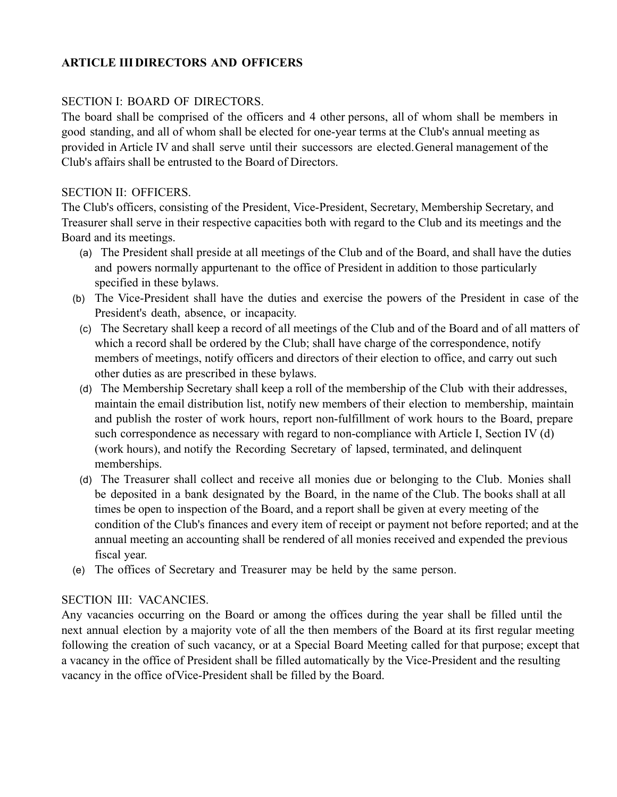## **ARTICLE III DIRECTORS AND OFFICERS**

## SECTION I: BOARD OF DIRECTORS.

The board shall be comprised of the officers and 4 other persons, all of whom shall be members in good standing, and all of whom shall be elected for one-year terms at the Club's annual meeting as provided in Article IV and shall serve until their successors are elected.General management of the Club's affairs shall be entrusted to the Board of Directors.

## SECTION II: OFFICERS.

The Club's officers, consisting of the President, Vice-President, Secretary, Membership Secretary, and Treasurer shall serve in their respective capacities both with regard to the Club and its meetings and the Board and its meetings.

- (a) The President shall preside at all meetings of the Club and of the Board, and shall have the duties and powers normally appurtenant to the office of President in addition to those particularly specified in these bylaws.
- (b) The Vice-President shall have the duties and exercise the powers of the President in case of the President's death, absence, or incapacity.
	- (c) The Secretary shall keep a record of all meetings of the Club and of the Board and of all matters of which a record shall be ordered by the Club; shall have charge of the correspondence, notify members of meetings, notify officers and directors of their election to office, and carry out such other duties as are prescribed in these bylaws.
	- (d) The Membership Secretary shall keep a roll of the membership of the Club with their addresses, maintain the email distribution list, notify new members of their election to membership, maintain and publish the roster of work hours, report non-fulfillment of work hours to the Board, prepare such correspondence as necessary with regard to non-compliance with Article I, Section IV (d) (work hours), and notify the Recording Secretary of lapsed, terminated, and delinquent memberships.
	- (d) The Treasurer shall collect and receive all monies due or belonging to the Club. Monies shall be deposited in a bank designated by the Board, in the name of the Club. The books shall at all times be open to inspection of the Board, and a report shall be given at every meeting of the condition of the Club's finances and every item of receipt or payment not before reported; and at the annual meeting an accounting shall be rendered of all monies received and expended the previous fiscal year.
- (e) The offices of Secretary and Treasurer may be held by the same person.

#### SECTION III: VACANCIES.

Any vacancies occurring on the Board or among the offices during the year shall be filled until the next annual election by a majority vote of all the then members of the Board at its first regular meeting following the creation of such vacancy, or at a Special Board Meeting called for that purpose; except that a vacancy in the office of President shall be filled automatically by the Vice-President and the resulting vacancy in the office ofVice-President shall be filled by the Board.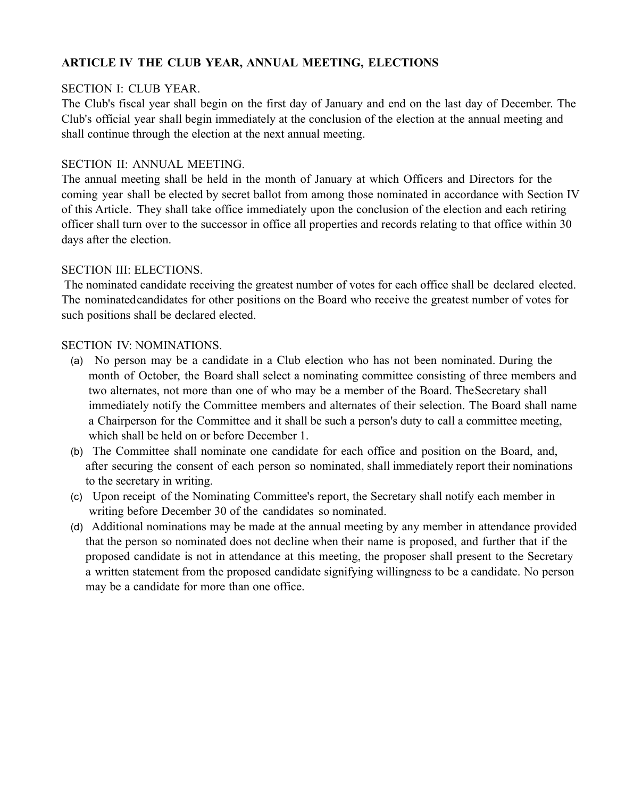## **ARTICLE IV THE CLUB YEAR, ANNUAL MEETING, ELECTIONS**

#### SECTION I: CLUB YEAR.

The Club's fiscal year shall begin on the first day of January and end on the last day of December. The Club's official year shall begin immediately at the conclusion of the election at the annual meeting and shall continue through the election at the next annual meeting.

#### SECTION II: ANNUAL MEETING.

The annual meeting shall be held in the month of January at which Officers and Directors for the coming year shall be elected by secret ballot from among those nominated in accordance with Section IV of this Article. They shall take office immediately upon the conclusion of the election and each retiring officer shall turn over to the successor in office all properties and records relating to that office within 30 days after the election.

#### SECTION III: ELECTIONS.

The nominated candidate receiving the greatest number of votes for each office shall be declared elected. The nominatedcandidates for other positions on the Board who receive the greatest number of votes for such positions shall be declared elected.

#### SECTION IV: NOMINATIONS.

- (a) No person may be a candidate in a Club election who has not been nominated. During the month of October, the Board shall select a nominating committee consisting of three members and two alternates, not more than one of who may be a member of the Board. TheSecretary shall immediately notify the Committee members and alternates of their selection. The Board shall name a Chairperson for the Committee and it shall be such a person's duty to call a committee meeting, which shall be held on or before December 1.
- (b) The Committee shall nominate one candidate for each office and position on the Board, and, after securing the consent of each person so nominated, shall immediately report their nominations to the secretary in writing.
- (c) Upon receipt of the Nominating Committee's report, the Secretary shall notify each member in writing before December 30 of the candidates so nominated.
- (d) Additional nominations may be made at the annual meeting by any member in attendance provided that the person so nominated does not decline when their name is proposed, and further that if the proposed candidate is not in attendance at this meeting, the proposer shall present to the Secretary a written statement from the proposed candidate signifying willingness to be a candidate. No person may be a candidate for more than one office.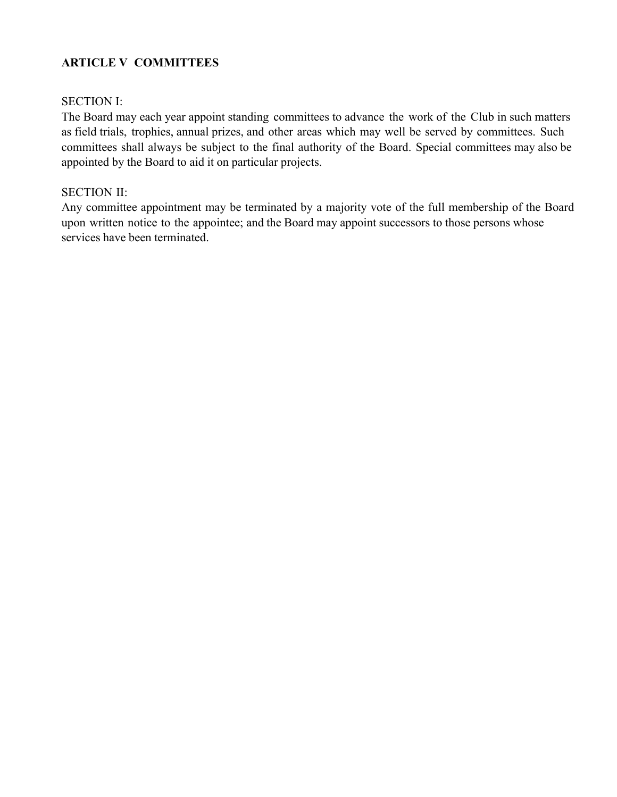## **ARTICLE V COMMITTEES**

#### SECTION I:

The Board may each year appoint standing committees to advance the work of the Club in such matters as field trials, trophies, annual prizes, and other areas which may well be served by committees. Such committees shall always be subject to the final authority of the Board. Special committees may also be appointed by the Board to aid it on particular projects.

#### SECTION II:

Any committee appointment may be terminated by a majority vote of the full membership of the Board upon written notice to the appointee; and the Board may appoint successors to those persons whose services have been terminated.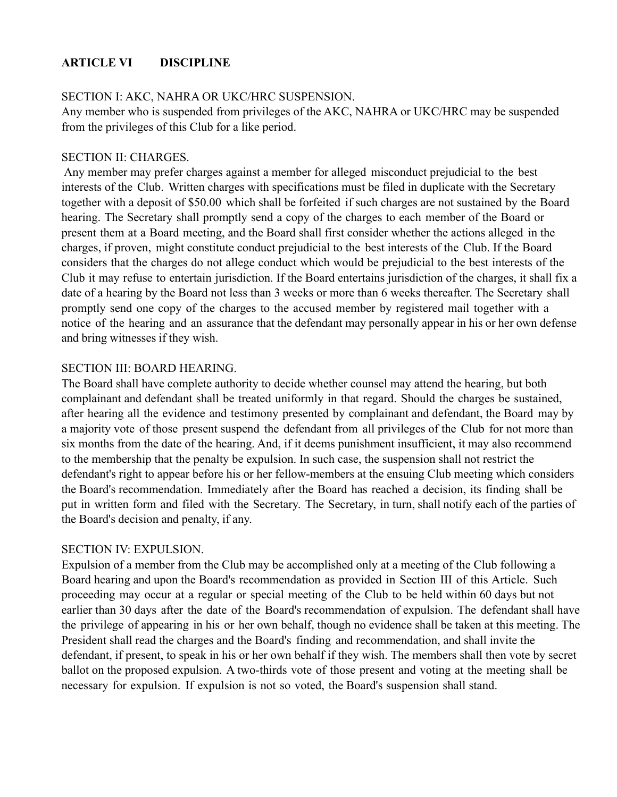## **ARTICLE VI DISCIPLINE**

#### SECTION I: AKC, NAHRA OR UKC/HRC SUSPENSION.

Any member who is suspended from privileges of the AKC, NAHRA or UKC/HRC may be suspended from the privileges of this Club for a like period.

#### SECTION II: CHARGES.

Any member may prefer charges against a member for alleged misconduct prejudicial to the best interests of the Club. Written charges with specifications must be filed in duplicate with the Secretary together with a deposit of \$50.00 which shall be forfeited if such charges are not sustained by the Board hearing. The Secretary shall promptly send a copy of the charges to each member of the Board or present them at a Board meeting, and the Board shall first consider whether the actions alleged in the charges, if proven, might constitute conduct prejudicial to the best interests of the Club. If the Board considers that the charges do not allege conduct which would be prejudicial to the best interests of the Club it may refuse to entertain jurisdiction. If the Board entertains jurisdiction of the charges, it shall fix a date of a hearing by the Board not less than 3 weeks or more than 6 weeks thereafter. The Secretary shall promptly send one copy of the charges to the accused member by registered mail together with a notice of the hearing and an assurance that the defendant may personally appear in his or her own defense and bring witnesses if they wish.

#### SECTION III: BOARD HEARING.

The Board shall have complete authority to decide whether counsel may attend the hearing, but both complainant and defendant shall be treated uniformly in that regard. Should the charges be sustained, after hearing all the evidence and testimony presented by complainant and defendant, the Board may by a majority vote of those present suspend the defendant from all privileges of the Club for not more than six months from the date of the hearing. And, if it deems punishment insufficient, it may also recommend to the membership that the penalty be expulsion. In such case, the suspension shall not restrict the defendant's right to appear before his or her fellow-members at the ensuing Club meeting which considers the Board's recommendation. Immediately after the Board has reached a decision, its finding shall be put in written form and filed with the Secretary. The Secretary, in turn, shall notify each of the parties of the Board's decision and penalty, if any.

#### SECTION IV: EXPULSION.

Expulsion of a member from the Club may be accomplished only at a meeting of the Club following a Board hearing and upon the Board's recommendation as provided in Section III of this Article. Such proceeding may occur at a regular or special meeting of the Club to be held within 60 days but not earlier than 30 days after the date of the Board's recommendation of expulsion. The defendant shall have the privilege of appearing in his or her own behalf, though no evidence shall be taken at this meeting. The President shall read the charges and the Board's finding and recommendation, and shall invite the defendant, if present, to speak in his or her own behalf if they wish. The members shall then vote by secret ballot on the proposed expulsion. A two-thirds vote of those present and voting at the meeting shall be necessary for expulsion. If expulsion is not so voted, the Board's suspension shall stand.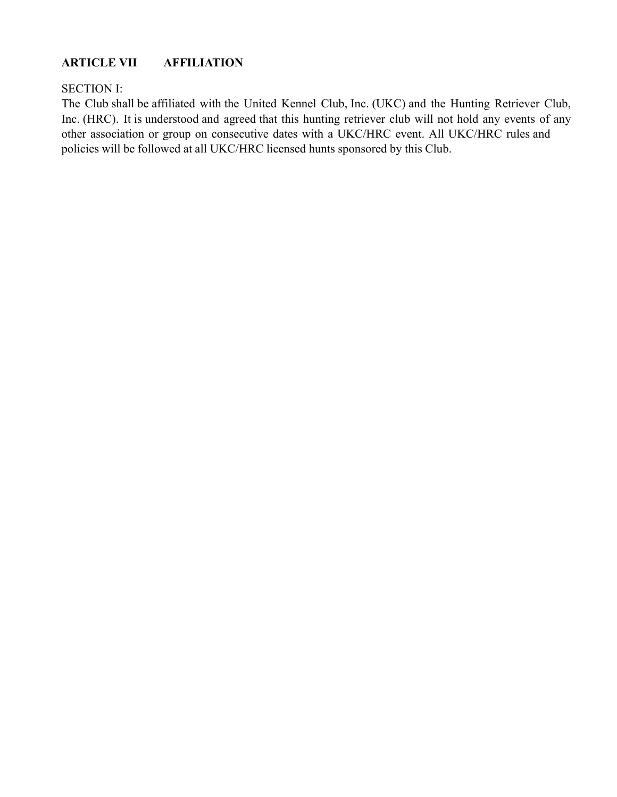## **ARTICLE VII AFFILIATION**

#### SECTION I:

The Club shall be affiliated with the United Kennel Club, Inc. (UKC) and the Hunting Retriever Club, Inc. (HRC). It is understood and agreed that this hunting retriever club will not hold any events of any other association or group on consecutive dates with a UKC/HRC event. All UKC/HRC rules and policies will be followed at all UKC/HRC licensed hunts sponsored by this Club.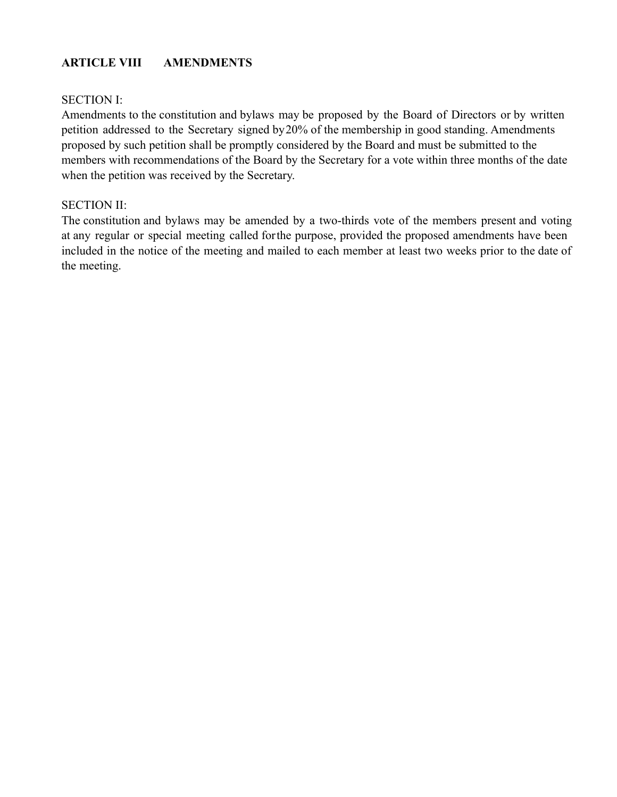## **ARTICLE VIII AMENDMENTS**

#### SECTION I:

Amendments to the constitution and bylaws may be proposed by the Board of Directors or by written petition addressed to the Secretary signed by20% of the membership in good standing. Amendments proposed by such petition shall be promptly considered by the Board and must be submitted to the members with recommendations of the Board by the Secretary for a vote within three months of the date when the petition was received by the Secretary.

#### SECTION II:

The constitution and bylaws may be amended by a two-thirds vote of the members present and voting at any regular or special meeting called forthe purpose, provided the proposed amendments have been included in the notice of the meeting and mailed to each member at least two weeks prior to the date of the meeting.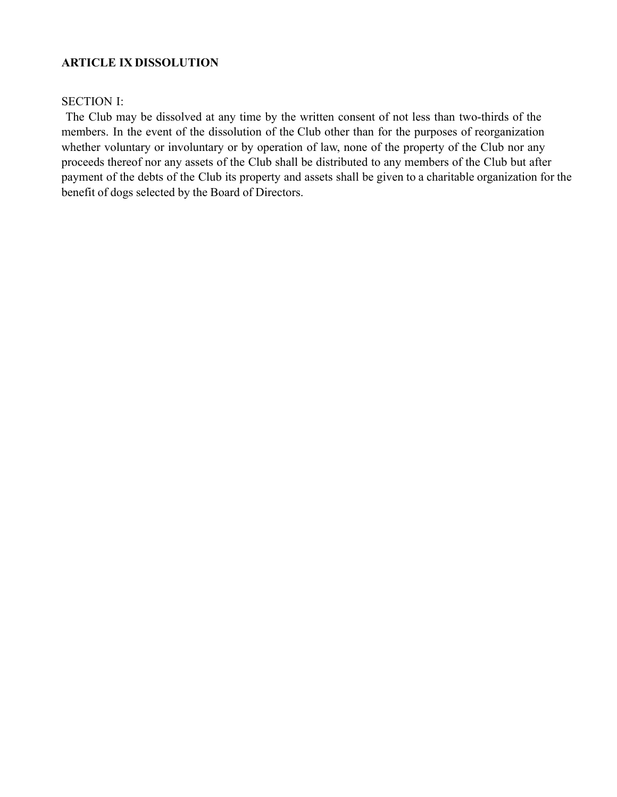#### **ARTICLE IX DISSOLUTION**

#### SECTION I:

The Club may be dissolved at any time by the written consent of not less than two-thirds of the members. In the event of the dissolution of the Club other than for the purposes of reorganization whether voluntary or involuntary or by operation of law, none of the property of the Club nor any proceeds thereof nor any assets of the Club shall be distributed to any members of the Club but after payment of the debts of the Club its property and assets shall be given to a charitable organization for the benefit of dogs selected by the Board of Directors.